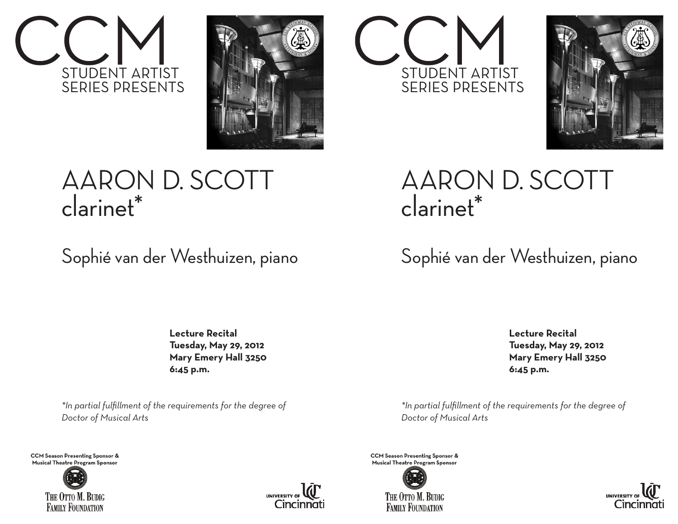



## AARON D. SCOTT clarinet\*

## Sophié van der Westhuizen, piano

 **Lecture Recital Tuesday, May 29, 2012 Mary Emery Hall 3250 6:45 p.m.**

*\*In partial fulfillment of the requirements for the degree of Doctor of Musical Arts*

**CCM Season Presenting Sponsor & Musical Theatre Program Sponsor**